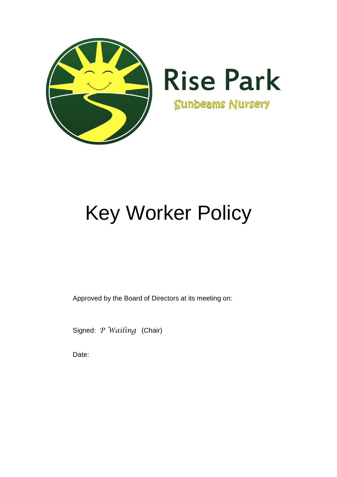

# Key Worker Policy

Approved by the Board of Directors at its meeting on:

Signed: *P Wailing* (Chair)

Date: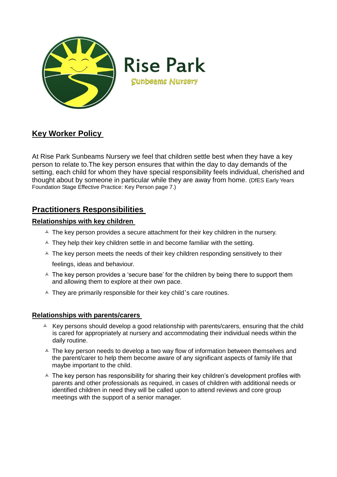

# **Rise Park Sunbeams Nursery**

## **Key Worker Policy**

At Rise Park Sunbeams Nursery we feel that children settle best when they have a key person to relate to.The key person ensures that within the day to day demands of the setting, each child for whom they have special responsibility feels individual, cherished and thought about by someone in particular while they are away from home. (DfES Early Years Foundation Stage Effective Practice: Key Person page 7.)

### **Practitioners Responsibilities**

#### **Relationships with key children**

- $\triangle$  The key person provides a secure attachment for their key children in the nursery.
- $\triangle$  They help their key children settle in and become familiar with the setting.
- $\triangle$  The key person meets the needs of their key children responding sensitively to their feelings, ideas and behaviour.
- $\triangle$  The key person provides a 'secure base' for the children by being there to support them and allowing them to explore at their own pace.
- $\triangle$  They are primarily responsible for their key child's care routines.

#### **Relationships with parents/carers**

- $\triangle$  Key persons should develop a good relationship with parents/carers, ensuring that the child is cared for appropriately at nursery and accommodating their individual needs within the daily routine.
- $\triangle$  The key person needs to develop a two way flow of information between themselves and the parent/carer to help them become aware of any significant aspects of family life that maybe important to the child.
- $\triangle$  The key person has responsibility for sharing their key children's development profiles with parents and other professionals as required, in cases of children with additional needs or identified children in need they will be called upon to attend reviews and core group meetings with the support of a senior manager.